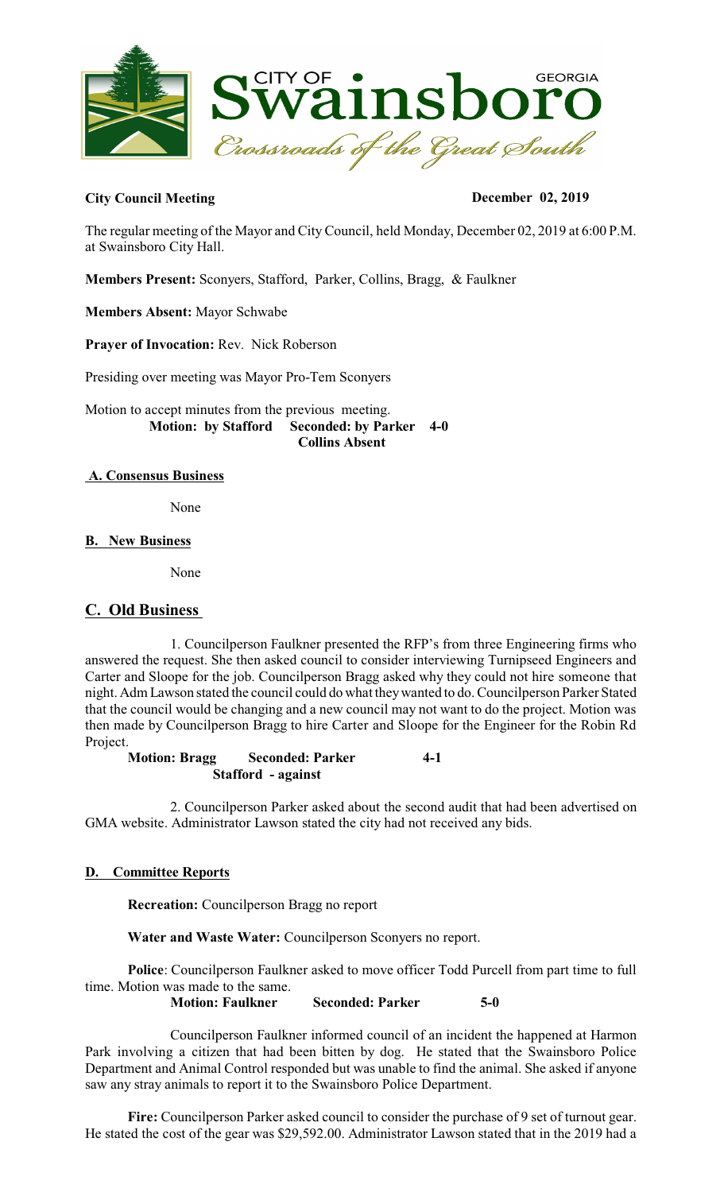

## City Council Meeting December 02, 2019

The regular meeting of the Mayor and City Council, held Monday, December 02, 2019 at 6:00 P.M. at Swainsboro City Hall.

**Members Present:** Sconyers, Stafford, Parker, Collins, Bragg, & Faulkner

**Members Absent:** Mayor Schwabe

**Prayer of Invocation:** Rev. Nick Roberson

Presiding over meeting was Mayor Pro-Tem Sconyers

Motion to accept minutes from the previous meeting.  **Motion: by Stafford Seconded: by Parker 4-0 Collins Absent**

### **A. Consensus Business**

None

### **B. New Business**

None

# **C. Old Business**

1. Councilperson Faulkner presented the RFP's from three Engineering firms who answered the request. She then asked council to consider interviewing Turnipseed Engineers and Carter and Sloope for the job. Councilperson Bragg asked why they could not hire someone that night. Adm Lawson stated the council could do what theywanted to do. Councilperson Parker Stated that the council would be changing and a new council may not want to do the project. Motion was then made by Councilperson Bragg to hire Carter and Sloope for the Engineer for the Robin Rd Project.

**Motion: Bragg Seconded: Parker 4-1 Stafford - against**

2. Councilperson Parker asked about the second audit that had been advertised on GMA website. Administrator Lawson stated the city had not received any bids.

### **D. Committee Reports**

**Recreation:** Councilperson Bragg no report

**Water and Waste Water:** Councilperson Sconyers no report.

**Police**: Councilperson Faulkner asked to move officer Todd Purcell from part time to full time. Motion was made to the same. **Motion: Faulkner Seconded: Parker 5-0** 

Councilperson Faulkner informed council of an incident the happened at Harmon Park involving a citizen that had been bitten by dog. He stated that the Swainsboro Police Department and Animal Control responded but was unable to find the animal. She asked if anyone saw any stray animals to report it to the Swainsboro Police Department.

**Fire:** Councilperson Parker asked council to consider the purchase of 9 set of turnout gear. He stated the cost of the gear was \$29,592.00. Administrator Lawson stated that in the 2019 had a